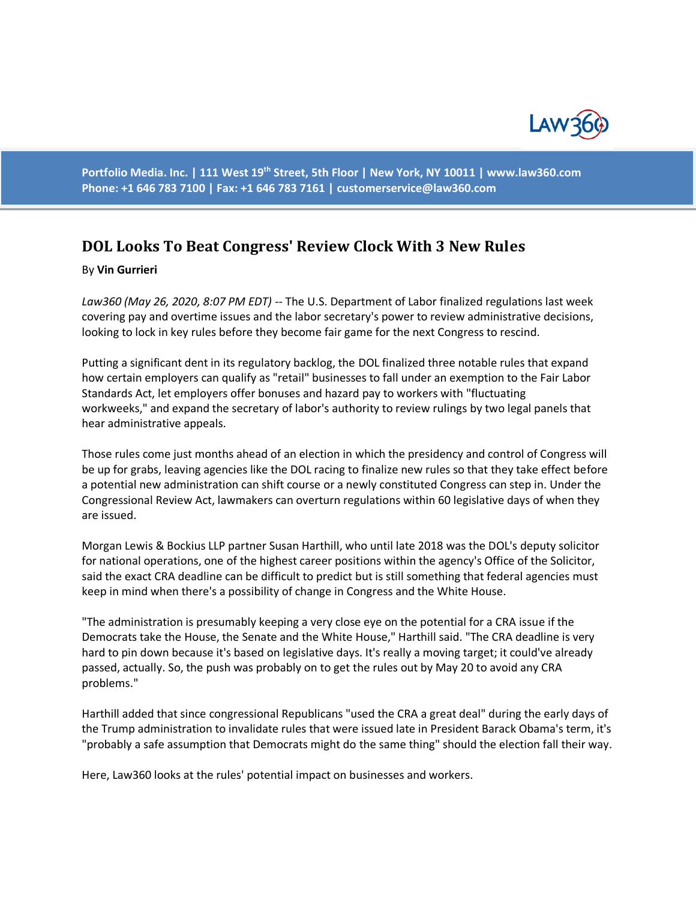

**Portfolio Media. Inc. | 111 West 19th Street, 5th Floor | New York, NY 10011 | www.law360.com Phone: +1 646 783 7100 | Fax: +1 646 783 7161 | [customerservice@law360.com](mailto:customerservice@law360.com)**

# **DOL Looks To Beat Congress' Review Clock With 3 New Rules**

#### By **Vin Gurrieri**

*Law360 (May 26, 2020, 8:07 PM EDT) --* The U.S. Department of Labor finalized regulations last week covering pay and overtime issues and the labor secretary's power to review administrative decisions, looking to lock in key rules before they become fair game for the next Congress to rescind.

Putting a significant dent in its regulatory backlog, the DOL finalized three notable rules that expand how certain employers can qualify as "retail" businesses to fall under an exemption to the Fair Labor Standards Act, let employers offer bonuses and hazard pay to workers with "fluctuating workweeks," and expand the secretary of labor's authority to review rulings by two legal panels that hear administrative appeals.

Those rules come just months ahead of an election in which the presidency and control of Congress will be up for grabs, leaving agencies like the DOL racing to finalize new rules so that they take effect before a potential new administration can shift course or a newly constituted Congress can step in. Under the Congressional Review Act, lawmakers can overturn regulations within 60 legislative days of when they are issued.

Morgan Lewis & Bockius LLP partner Susan Harthill, who until late 2018 was the DOL's deputy solicitor for national operations, one of the highest career positions within the agency's Office of the Solicitor, said the exact CRA deadline can be difficult to predict but is still something that federal agencies must keep in mind when there's a possibility of change in Congress and the White House.

"The administration is presumably keeping a very close eye on the potential for a CRA issue if the Democrats take the House, the Senate and the White House," Harthill said. "The CRA deadline is very hard to pin down because it's based on legislative days. It's really a moving target; it could've already passed, actually. So, the push was probably on to get the rules out by May 20 to avoid any CRA problems."

Harthill added that since congressional Republicans "used the CRA a great deal" during the early days of the Trump administration to invalidate rules that were issued late in President Barack Obama's term, it's "probably a safe assumption that Democrats might do the same thing" should the election fall their way.

Here, Law360 looks at the rules' potential impact on businesses and workers.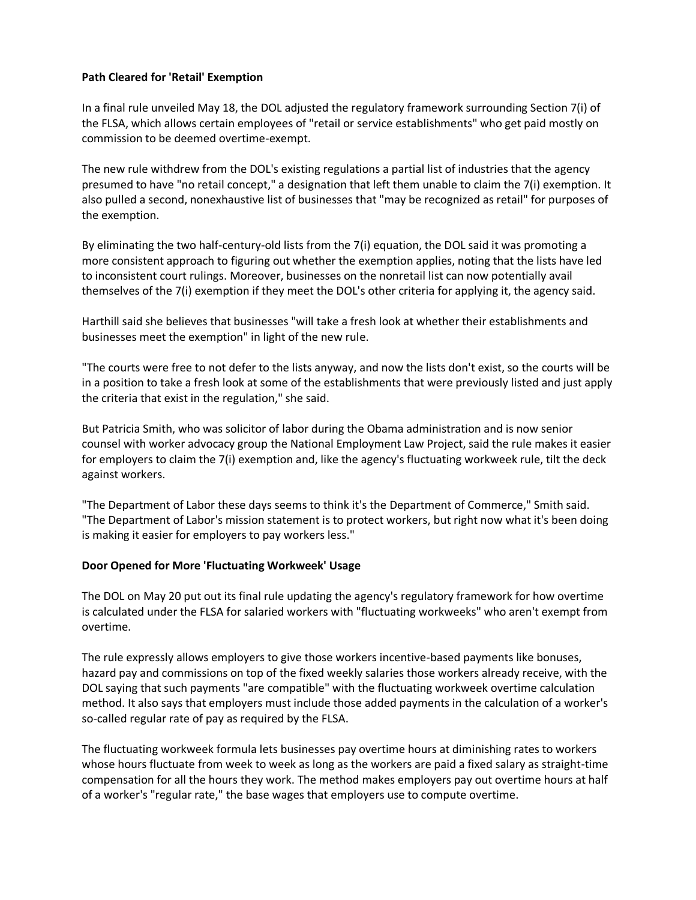# **Path Cleared for 'Retail' Exemption**

In a final rule unveiled May 18, the DOL adjusted the regulatory framework surrounding Section 7(i) of the FLSA, which allows certain employees of "retail or service establishments" who get paid mostly on commission to be deemed overtime-exempt.

The new rule withdrew from the DOL's existing regulations a partial list of industries that the agency presumed to have "no retail concept," a designation that left them unable to claim the 7(i) exemption. It also pulled a second, nonexhaustive list of businesses that "may be recognized as retail" for purposes of the exemption.

By eliminating the two half-century-old lists from the 7(i) equation, the DOL said it was promoting a more consistent approach to figuring out whether the exemption applies, noting that the lists have led to inconsistent court rulings. Moreover, businesses on the nonretail list can now potentially avail themselves of the 7(i) exemption if they meet the DOL's other criteria for applying it, the agency said.

Harthill said she believes that businesses "will take a fresh look at whether their establishments and businesses meet the exemption" in light of the new rule.

"The courts were free to not defer to the lists anyway, and now the lists don't exist, so the courts will be in a position to take a fresh look at some of the establishments that were previously listed and just apply the criteria that exist in the regulation," she said.

But Patricia Smith, who was solicitor of labor during the Obama administration and is now senior counsel with worker advocacy group the National Employment Law Project, said the rule makes it easier for employers to claim the 7(i) exemption and, like the agency's fluctuating workweek rule, tilt the deck against workers.

"The Department of Labor these days seems to think it's the Department of Commerce," Smith said. "The Department of Labor's mission statement is to protect workers, but right now what it's been doing is making it easier for employers to pay workers less."

## **Door Opened for More 'Fluctuating Workweek' Usage**

The DOL on May 20 put out its final rule updating the agency's regulatory framework for how overtime is calculated under the FLSA for salaried workers with "fluctuating workweeks" who aren't exempt from overtime.

The rule expressly allows employers to give those workers incentive-based payments like bonuses, hazard pay and commissions on top of the fixed weekly salaries those workers already receive, with the DOL saying that such payments "are compatible" with the fluctuating workweek overtime calculation method. It also says that employers must include those added payments in the calculation of a worker's so-called regular rate of pay as required by the FLSA.

The fluctuating workweek formula lets businesses pay overtime hours at diminishing rates to workers whose hours fluctuate from week to week as long as the workers are paid a fixed salary as straight-time compensation for all the hours they work. The method makes employers pay out overtime hours at half of a worker's "regular rate," the base wages that employers use to compute overtime.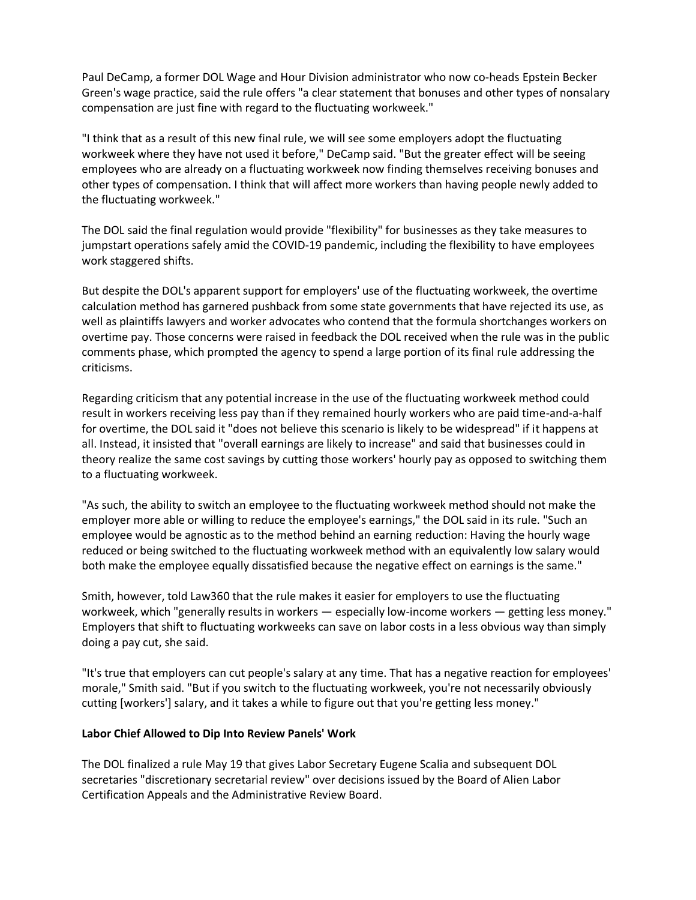Paul DeCamp, a former DOL Wage and Hour Division administrator who now co-heads Epstein Becker Green's wage practice, said the rule offers "a clear statement that bonuses and other types of nonsalary compensation are just fine with regard to the fluctuating workweek."

"I think that as a result of this new final rule, we will see some employers adopt the fluctuating workweek where they have not used it before," DeCamp said. "But the greater effect will be seeing employees who are already on a fluctuating workweek now finding themselves receiving bonuses and other types of compensation. I think that will affect more workers than having people newly added to the fluctuating workweek."

The DOL said the final regulation would provide "flexibility" for businesses as they take measures to jumpstart operations safely amid the COVID-19 pandemic, including the flexibility to have employees work staggered shifts.

But despite the DOL's apparent support for employers' use of the fluctuating workweek, the overtime calculation method has garnered pushback from some state governments that have rejected its use, as well as plaintiffs lawyers and worker advocates who contend that the formula shortchanges workers on overtime pay. Those concerns were raised in feedback the DOL received when the rule was in the public comments phase, which prompted the agency to spend a large portion of its final rule addressing the criticisms.

Regarding criticism that any potential increase in the use of the fluctuating workweek method could result in workers receiving less pay than if they remained hourly workers who are paid time-and-a-half for overtime, the DOL said it "does not believe this scenario is likely to be widespread" if it happens at all. Instead, it insisted that "overall earnings are likely to increase" and said that businesses could in theory realize the same cost savings by cutting those workers' hourly pay as opposed to switching them to a fluctuating workweek.

"As such, the ability to switch an employee to the fluctuating workweek method should not make the employer more able or willing to reduce the employee's earnings," the DOL said in its rule. "Such an employee would be agnostic as to the method behind an earning reduction: Having the hourly wage reduced or being switched to the fluctuating workweek method with an equivalently low salary would both make the employee equally dissatisfied because the negative effect on earnings is the same."

Smith, however, told Law360 that the rule makes it easier for employers to use the fluctuating workweek, which "generally results in workers — especially low-income workers — getting less money." Employers that shift to fluctuating workweeks can save on labor costs in a less obvious way than simply doing a pay cut, she said.

"It's true that employers can cut people's salary at any time. That has a negative reaction for employees' morale," Smith said. "But if you switch to the fluctuating workweek, you're not necessarily obviously cutting [workers'] salary, and it takes a while to figure out that you're getting less money."

## **Labor Chief Allowed to Dip Into Review Panels' Work**

The DOL finalized a rule May 19 that gives Labor Secretary Eugene Scalia and subsequent DOL secretaries "discretionary secretarial review" over decisions issued by the Board of Alien Labor Certification Appeals and the Administrative Review Board.